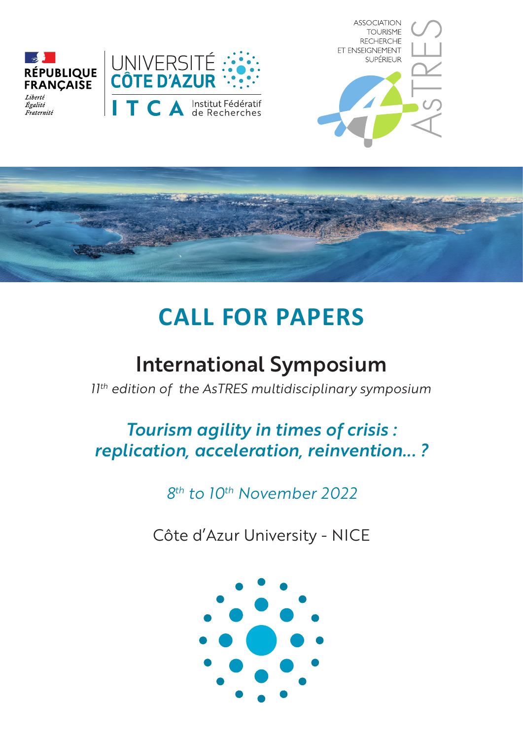





# **CALL FOR PAPERS**

## International Symposium

*11 th edition of the AsTRES multidisciplinary symposium*

### *Tourism agility in times of crisis : replication, acceleration, reinvention... ?*

*8 th to 10 th November 2022*

Côte d'Azur University - NICE

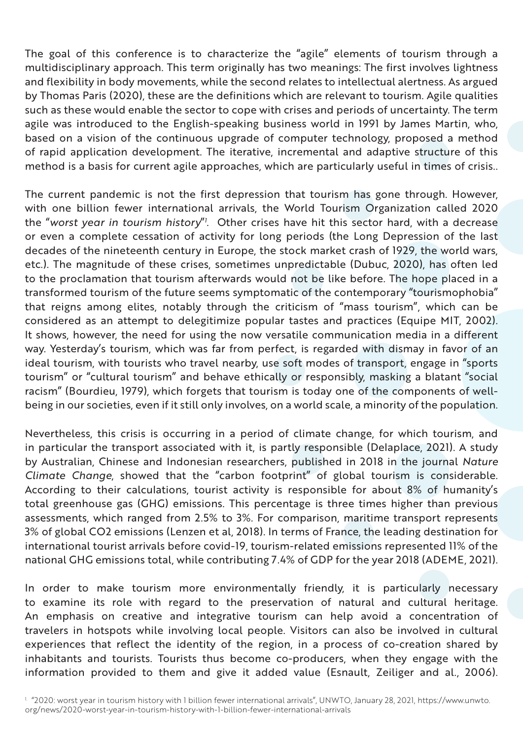The goal of this conference is to characterize the "agile" elements of tourism through a multidisciplinary approach. This term originally has two meanings: The first involves lightness and flexibility in body movements, while the second relates to intellectual alertness. As argued by Thomas Paris (2020), these are the definitions which are relevant to tourism. Agile qualities such as these would enable the sector to cope with crises and periods of uncertainty. The term agile was introduced to the English-speaking business world in 1991 by James Martin, who, based on a vision of the continuous upgrade of computer technology, proposed a method of rapid application development. The iterative, incremental and adaptive structure of this method is a basis for current agile approaches, which are particularly useful in times of crisis..

The current pandemic is not the first depression that tourism has gone through. However, with one billion fewer international arrivals, the World Tourism Organization called 2020 the "*worst year in tourism history*"*<sup>1</sup>* . Other crises have hit this sector hard, with a decrease or even a complete cessation of activity for long periods (the Long Depression of the last decades of the nineteenth century in Europe, the stock market crash of 1929, the world wars, etc.). The magnitude of these crises, sometimes unpredictable (Dubuc, 2020), has often led to the proclamation that tourism afterwards would not be like before. The hope placed in a transformed tourism of the future seems symptomatic of the contemporary "tourismophobia" that reigns among elites, notably through the criticism of "mass tourism", which can be considered as an attempt to delegitimize popular tastes and practices (Equipe MIT, 2002). It shows, however, the need for using the now versatile communication media in a different way. Yesterday's tourism, which was far from perfect, is regarded with dismay in favor of an ideal tourism, with tourists who travel nearby, use soft modes of transport, engage in "sports tourism" or "cultural tourism" and behave ethically or responsibly, masking a blatant "social racism" (Bourdieu, 1979), which forgets that tourism is today one of the components of wellbeing in our societies, even if it still only involves, on a world scale, a minority of the population.

Nevertheless, this crisis is occurring in a period of climate change, for which tourism, and in particular the transport associated with it, is partly responsible (Delaplace, 2021). A study by Australian, Chinese and Indonesian researchers, published in 2018 in the journal *Nature Climate Change*, showed that the "carbon footprint" of global tourism is considerable. According to their calculations, tourist activity is responsible for about 8% of humanity's total greenhouse gas (GHG) emissions. This percentage is three times higher than previous assessments, which ranged from 2.5% to 3%. For comparison, maritime transport represents 3% of global CO2 emissions (Lenzen et al, 2018). In terms of France, the leading destination for international tourist arrivals before covid-19, tourism-related emissions represented 11% of the national GHG emissions total, while contributing 7.4% of GDP for the year 2018 (ADEME, 2021).

In order to make tourism more environmentally friendly, it is particularly necessary to examine its role with regard to the preservation of natural and cultural heritage. An emphasis on creative and integrative tourism can help avoid a concentration of travelers in hotspots while involving local people. Visitors can also be involved in cultural experiences that reflect the identity of the region, in a process of co-creation shared by inhabitants and tourists. Tourists thus become co-producers, when they engage with the information provided to them and give it added value (Esnault, Zeiliger and al., 2006).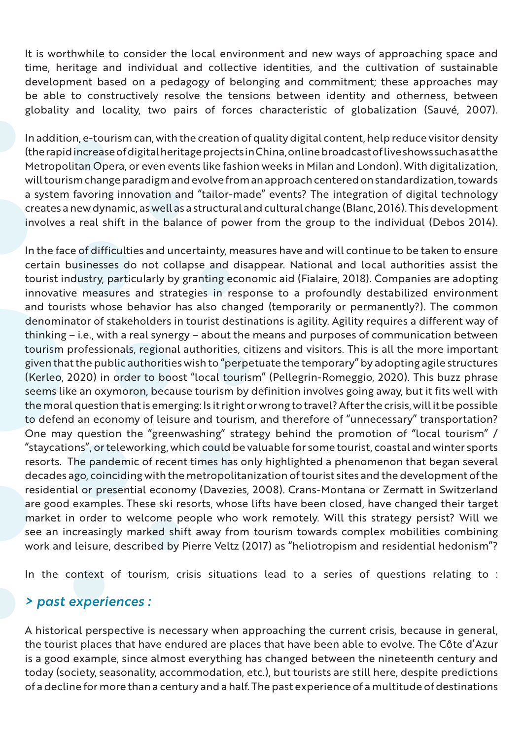It is worthwhile to consider the local environment and new ways of approaching space and time, heritage and individual and collective identities, and the cultivation of sustainable development based on a pedagogy of belonging and commitment; these approaches may be able to constructively resolve the tensions between identity and otherness, between globality and locality, two pairs of forces characteristic of globalization (Sauvé, 2007).

In addition, e-tourism can, with the creation of quality digital content, help reduce visitor density (the rapid increase of digital heritage projects in China, online broadcast of live shows such as at the Metropolitan Opera, or even events like fashion weeks in Milan and London). With digitalization, will tourism change paradigm and evolve from an approach centered on standardization, towards a system favoring innovation and "tailor-made" events? The integration of digital technology creates a new dynamic, as well as a structural and cultural change (Blanc, 2016). This development involves a real shift in the balance of power from the group to the individual (Debos 2014).

In the face of difficulties and uncertainty, measures have and will continue to be taken to ensure certain businesses do not collapse and disappear. National and local authorities assist the tourist industry, particularly by granting economic aid (Fialaire, 2018). Companies are adopting innovative measures and strategies in response to a profoundly destabilized environment and tourists whose behavior has also changed (temporarily or permanently?). The common denominator of stakeholders in tourist destinations is agility. Agility requires a different way of thinking – i.e., with a real synergy – about the means and purposes of communication between tourism professionals, regional authorities, citizens and visitors. This is all the more important given that the public authorities wish to "perpetuate the temporary" by adopting agile structures (Kerleo, 2020) in order to boost "local tourism" (Pellegrin-Romeggio, 2020). This buzz phrase seems like an oxymoron, because tourism by definition involves going away, but it fits well with the moral question that is emerging: Is it right or wrong to travel? After the crisis, will it be possible to defend an economy of leisure and tourism, and therefore of "unnecessary" transportation? One may question the "greenwashing" strategy behind the promotion of "local tourism" / "staycations", or teleworking, which could be valuable for some tourist, coastal and winter sports resorts. The pandemic of recent times has only highlighted a phenomenon that began several decades ago, coinciding with the metropolitanization of tourist sites and the development of the residential or presential economy (Davezies, 2008). Crans-Montana or Zermatt in Switzerland are good examples. These ski resorts, whose lifts have been closed, have changed their target market in order to welcome people who work remotely. Will this strategy persist? Will we see an increasingly marked shift away from tourism towards complex mobilities combining work and leisure, described by Pierre Veltz (2017) as "heliotropism and residential hedonism"?

In the context of tourism, crisis situations lead to a series of questions relating to :

#### *> past experiences :*

A historical perspective is necessary when approaching the current crisis, because in general, the tourist places that have endured are places that have been able to evolve. The Côte d'Azur is a good example, since almost everything has changed between the nineteenth century and today (society, seasonality, accommodation, etc.), but tourists are still here, despite predictions of a decline for more than a century and a half. The past experience of a multitude of destinations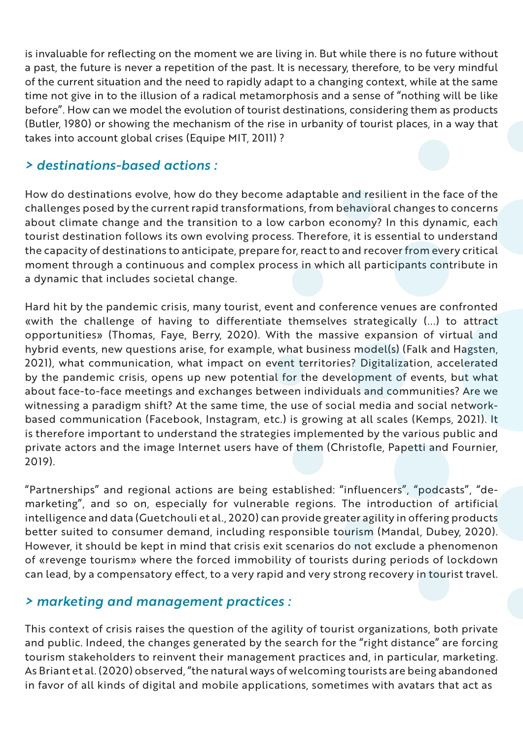is invaluable for reflecting on the moment we are living in. But while there is no future without a past, the future is never a repetition of the past. It is necessary, therefore, to be very mindful of the current situation and the need to rapidly adapt to a changing context, while at the same time not give in to the illusion of a radical metamorphosis and a sense of "nothing will be like before". How can we model the evolution of tourist destinations, considering them as products (Butler, 1980) or showing the mechanism of the rise in urbanity of tourist places, in a way that takes into account global crises (Equipe MIT, 2011) ?

#### *> destinations-based actions :*

How do destinations evolve, how do they become adaptable and resilient in the face of the challenges posed by the current rapid transformations, from behavioral changes to concerns about climate change and the transition to a low carbon economy? In this dynamic, each tourist destination follows its own evolving process. Therefore, it is essential to understand the capacity of destinations to anticipate, prepare for, react to and recover from every critical moment through a continuous and complex process in which all participants contribute in a dynamic that includes societal change.

Hard hit by the pandemic crisis, many tourist, event and conference venues are confronted «with the challenge of having to differentiate themselves strategically (...) to attract opportunities» (Thomas, Faye, Berry, 2020). With the massive expansion of virtual and hybrid events, new questions arise, for example, what business model(s) (Falk and Hagsten, 2021), what communication, what impact on event territories? Digitalization, accelerated by the pandemic crisis, opens up new potential for the development of events, but what about face-to-face meetings and exchanges between individuals and communities? Are we witnessing a paradigm shift? At the same time, the use of social media and social networkbased communication (Facebook, Instagram, etc.) is growing at all scales (Kemps, 2021). It is therefore important to understand the strategies implemented by the various public and private actors and the image Internet users have of them (Christofle, Papetti and Fournier, 2019).

"Partnerships" and regional actions are being established: "influencers", "podcasts", "demarketing", and so on, especially for vulnerable regions. The introduction of artificial intelligence and data (Guetchouli et al., 2020) can provide greater agility in offering products better suited to consumer demand, including responsible tourism (Mandal, Dubey, 2020). However, it should be kept in mind that crisis exit scenarios do not exclude a phenomenon of «revenge tourism» where the forced immobility of tourists during periods of lockdown can lead, by a compensatory effect, to a very rapid and very strong recovery in tourist travel.

#### *> marketing and management practices :*

This context of crisis raises the question of the agility of tourist organizations, both private and public. Indeed, the changes generated by the search for the "right distance" are forcing tourism stakeholders to reinvent their management practices and, in particular, marketing. As Briant et al. (2020) observed, "the natural ways of welcoming tourists are being abandoned in favor of all kinds of digital and mobile applications, sometimes with avatars that act as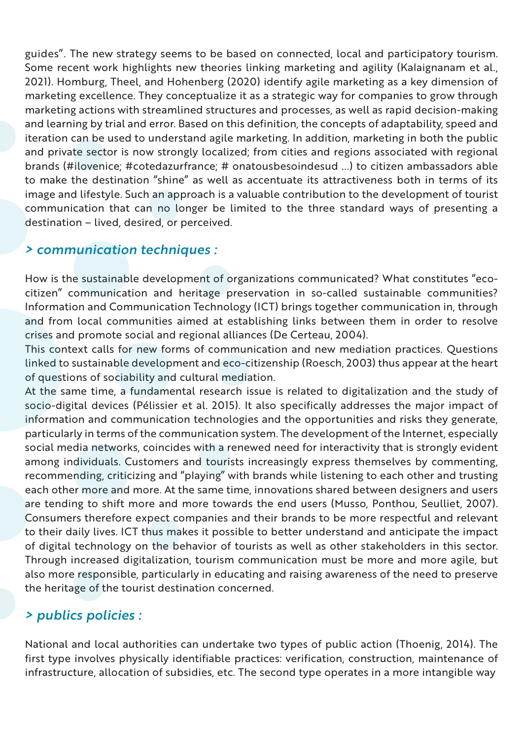guides". The new strategy seems to be based on connected, local and participatory tourism. Some recent work highlights new theories linking marketing and agility (Kalaignanam et al., 2021). Homburg, Theel, and Hohenberg (2020) identify agile marketing as a key dimension of marketing excellence. They conceptualize it as a strategic way for companies to grow through marketing actions with streamlined structures and processes, as well as rapid decision-making and learning by trial and error. Based on this definition, the concepts of adaptability, speed and iteration can be used to understand agile marketing. In addition, marketing in both the public and private sector is now strongly localized; from cities and regions associated with regional brands (#ilovenice; #cotedazurfrance; # onatousbesoindesud ...) to citizen ambassadors able to make the destination "shine" as well as accentuate its attractiveness both in terms of its image and lifestyle. Such an approach is a valuable contribution to the development of tourist communication that can no longer be limited to the three standard ways of presenting a destination – lived, desired, or perceived.

#### *> communication techniques :*

How is the sustainable development of organizations communicated? What constitutes "ecocitizen" communication and heritage preservation in so-called sustainable communities? Information and Communication Technology (ICT) brings together communication in, through and from local communities aimed at establishing links between them in order to resolve crises and promote social and regional alliances (De Certeau, 2004).

This context calls for new forms of communication and new mediation practices. Questions linked to sustainable development and eco-citizenship (Roesch, 2003) thus appear at the heart of questions of sociability and cultural mediation.

At the same time, a fundamental research issue is related to digitalization and the study of socio-digital devices (Pélissier et al. 2015). It also specifically addresses the major impact of information and communication technologies and the opportunities and risks they generate, particularly in terms of the communication system. The development of the Internet, especially social media networks, coincides with a renewed need for interactivity that is strongly evident among individuals. Customers and tourists increasingly express themselves by commenting, recommending, criticizing and "playing" with brands while listening to each other and trusting each other more and more. At the same time, innovations shared between designers and users are tending to shift more and more towards the end users (Musso, Ponthou, Seulliet, 2007). Consumers therefore expect companies and their brands to be more respectful and relevant to their daily lives. ICT thus makes it possible to better understand and anticipate the impact of digital technology on the behavior of tourists as well as other stakeholders in this sector. Through increased digitalization, tourism communication must be more and more agile, but also more responsible, particularly in educating and raising awareness of the need to preserve the heritage of the tourist destination concerned.

#### *> publics policies :*

National and local authorities can undertake two types of public action (Thoenig, 2014). The first type involves physically identifiable practices: verification, construction, maintenance of infrastructure, allocation of subsidies, etc. The second type operates in a more intangible way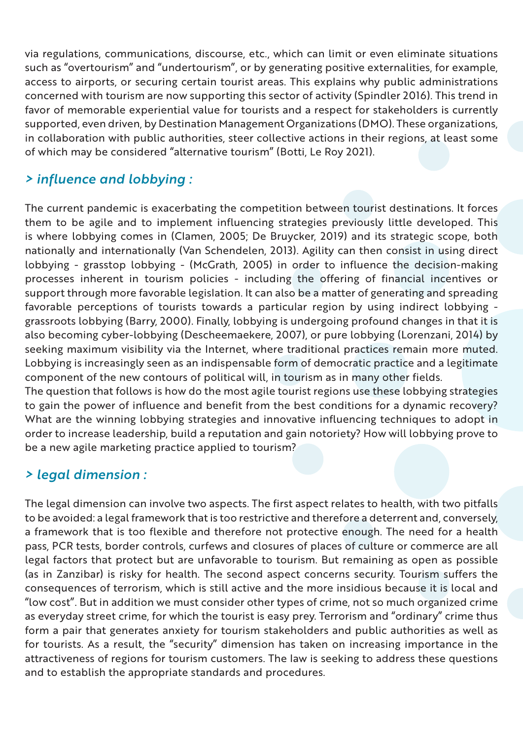via regulations, communications, discourse, etc., which can limit or even eliminate situations such as "overtourism" and "undertourism", or by generating positive externalities, for example, access to airports, or securing certain tourist areas. This explains why public administrations concerned with tourism are now supporting this sector of activity (Spindler 2016). This trend in favor of memorable experiential value for tourists and a respect for stakeholders is currently supported, even driven, by Destination Management Organizations (DMO). These organizations, in collaboration with public authorities, steer collective actions in their regions, at least some of which may be considered "alternative tourism" (Botti, Le Roy 2021).

#### *> influence and lobbying :*

The current pandemic is exacerbating the competition between tourist destinations. It forces them to be agile and to implement influencing strategies previously little developed. This is where lobbying comes in (Clamen, 2005; De Bruycker, 2019) and its strategic scope, both nationally and internationally (Van Schendelen, 2013). Agility can then consist in using direct lobbying - grasstop lobbying - (McGrath, 2005) in order to influence the decision-making processes inherent in tourism policies - including the offering of financial incentives or support through more favorable legislation. It can also be a matter of generating and spreading favorable perceptions of tourists towards a particular region by using indirect lobbying grassroots lobbying (Barry, 2000). Finally, lobbying is undergoing profound changes in that it is also becoming cyber-lobbying (Descheemaekere, 2007), or pure lobbying (Lorenzani, 2014) by seeking maximum visibility via the Internet, where traditional practices remain more muted. Lobbying is increasingly seen as an indispensable form of democratic practice and a legitimate component of the new contours of political will, in tourism as in many other fields.

The question that follows is how do the most agile tourist regions use these lobbying strategies to gain the power of influence and benefit from the best conditions for a dynamic recovery? What are the winning lobbying strategies and innovative influencing techniques to adopt in order to increase leadership, build a reputation and gain notoriety? How will lobbying prove to be a new agile marketing practice applied to tourism?

#### *> legal dimension :*

The legal dimension can involve two aspects. The first aspect relates to health, with two pitfalls to be avoided: a legal framework that is too restrictive and therefore a deterrent and, conversely, a framework that is too flexible and therefore not protective enough. The need for a health pass, PCR tests, border controls, curfews and closures of places of culture or commerce are all legal factors that protect but are unfavorable to tourism. But remaining as open as possible (as in Zanzibar) is risky for health. The second aspect concerns security. Tourism suffers the consequences of terrorism, which is still active and the more insidious because it is local and "low cost". But in addition we must consider other types of crime, not so much organized crime as everyday street crime, for which the tourist is easy prey. Terrorism and "ordinary" crime thus form a pair that generates anxiety for tourism stakeholders and public authorities as well as for tourists. As a result, the "security" dimension has taken on increasing importance in the attractiveness of regions for tourism customers. The law is seeking to address these questions and to establish the appropriate standards and procedures.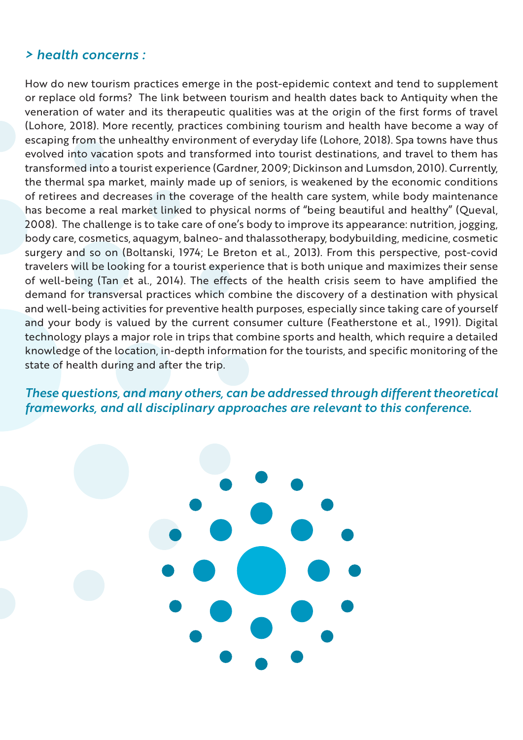#### *> health concerns :*

How do new tourism practices emerge in the post-epidemic context and tend to supplement or replace old forms? The link between tourism and health dates back to Antiquity when the veneration of water and its therapeutic qualities was at the origin of the first forms of travel (Lohore, 2018). More recently, practices combining tourism and health have become a way of escaping from the unhealthy environment of everyday life (Lohore, 2018). Spa towns have thus evolved into vacation spots and transformed into tourist destinations, and travel to them has transformed into a tourist experience (Gardner, 2009; Dickinson and Lumsdon, 2010). Currently, the thermal spa market, mainly made up of seniors, is weakened by the economic conditions of retirees and decreases in the coverage of the health care system, while body maintenance has become a real market linked to physical norms of "being beautiful and healthy" (Queval, 2008). The challenge is to take care of one's body to improve its appearance: nutrition, jogging, body care, cosmetics, aquagym, balneo- and thalassotherapy, bodybuilding, medicine, cosmetic surgery and so on (Boltanski, 1974; Le Breton et al., 2013). From this perspective, post-covid travelers will be looking for a tourist experience that is both unique and maximizes their sense of well-being (Tan et al., 2014). The effects of the health crisis seem to have amplified the demand for transversal practices which combine the discovery of a destination with physical and well-being activities for preventive health purposes, especially since taking care of yourself and your body is valued by the current consumer culture (Featherstone et al., 1991). Digital technology plays a major role in trips that combine sports and health, which require a detailed knowledge of the location, in-depth information for the tourists, and specific monitoring of the state of health during and after the trip.

*These questions, and many others, can be addressed through different theoretical frameworks, and all disciplinary approaches are relevant to this conference.*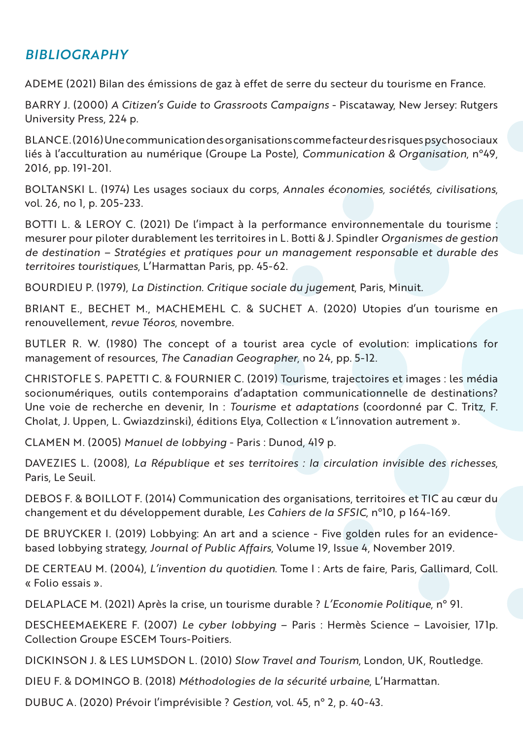#### *BIBLIOGRAPHY*

ADEME (2021) Bilan des émissions de gaz à effet de serre du secteur du tourisme en France.

BARRY J. (2000) *A Citizen's Guide to Grassroots Campaigns* - Piscataway, New Jersey: Rutgers University Press, 224 p.

BLANC E. (2016) Une communication des organisations comme facteur des risques psychosociaux liés à l'acculturation au numérique (Groupe La Poste), *Communication & Organisation*, n°49, 2016, pp. 191-201.

BOLTANSKI L. (1974) Les usages sociaux du corps, *Annales économies, sociétés, civilisations*, vol. 26, no 1, p. 205-233.

BOTTI L. & LEROY C. (2021) De l'impact à la performance environnementale du tourisme : mesurer pour piloter durablement les territoires in L. Botti & J. Spindler *Organismes de gestion de destination – Stratégies et pratiques pour un management responsable et durable des territoires touristiques*, L'Harmattan Paris, pp. 45-62.

BOURDIEU P. (1979), *La Distinction. Critique sociale du jugement*, Paris, Minuit.

BRIANT E., BECHET M., MACHEMEHL C. & SUCHET A. (2020) Utopies d'un tourisme en renouvellement, *revue Téoros*, novembre.

BUTLER R. W. (1980) The concept of a tourist area cycle of evolution: implications for management of resources, *The Canadian Geographer*, no 24, pp. 5-12.

CHRISTOFLE S. PAPETTI C. & FOURNIER C. (2019) Tourisme, trajectoires et images : les média socionumériques, outils contemporains d'adaptation communicationnelle de destinations? Une voie de recherche en devenir, In : *Tourisme et adaptations* (coordonné par C. Tritz, F. Cholat, J. Uppen, L. Gwiazdzinski), éditions Elya, Collection « L'innovation autrement ».

CLAMEN M. (2005) *Manuel de lobbying* - Paris : Dunod, 419 p.

DAVEZIES L. (2008), *La République et ses territoires : la circulation invisible des richesses*, Paris, Le Seuil.

DEBOS F. & BOILLOT F. (2014) Communication des organisations, territoires et TIC au cœur du changement et du développement durable, *Les Cahiers de la SFSIC*, n°10, p 164-169.

DE BRUYCKER I. (2019) Lobbying: An art and a science - Five golden rules for an evidencebased lobbying strategy, *Journal of Public Affairs*, Volume 19, Issue 4, November 2019.

DE CERTEAU M. (2004), *L'invention du quotidien*. Tome I : Arts de faire, Paris, Gallimard, Coll. « Folio essais ».

DELAPLACE M. (2021) Après la crise, un tourisme durable ? *L'Economie Politique*, n° 91.

DESCHEEMAEKERE F. (2007) *Le cyber lobbying* – Paris : Hermès Science – Lavoisier, 171p. Collection Groupe ESCEM Tours-Poitiers.

DICKINSON J. & LES LUMSDON L. (2010) *Slow Travel and Tourism*, London, UK, Routledge.

DIEU F. & DOMINGO B. (2018) *Méthodologies de la sécurité urbaine*, L'Harmattan.

DUBUC A. (2020) Prévoir l'imprévisible ? *Gestion*, vol. 45, n° 2, p. 40-43.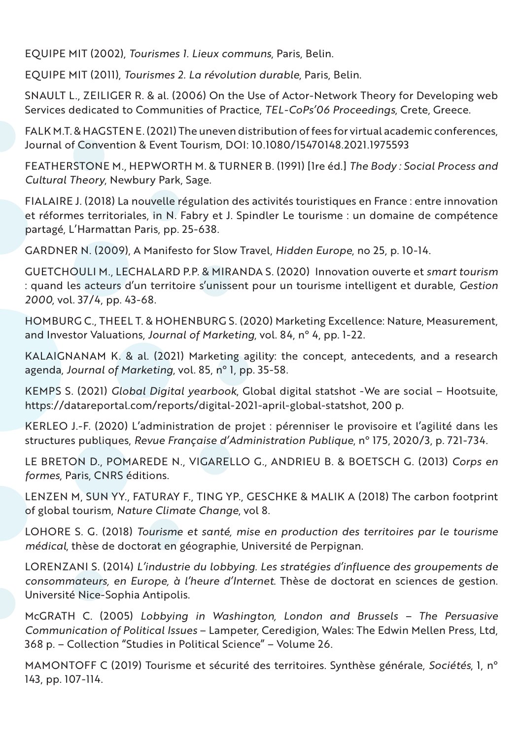EQUIPE MIT (2002), *Tourismes 1. Lieux communs*, Paris, Belin.

EQUIPE MIT (2011), *Tourismes 2. La révolution durable*, Paris, Belin.

SNAULT L., ZEILIGER R. & al. (2006) On the Use of Actor-Network Theory for Developing web Services dedicated to Communities of Practice, *TEL-CoPs'06 Proceedings*, Crete, Greece.

FALK M.T. & HAGSTEN E. (2021) The uneven distribution of fees for virtual academic conferences, Journal of Convention & Event Tourism, DOI: 10.1080/15470148.2021.1975593

FEATHERSTONE M., HEPWORTH M. & TURNER B. (1991) [1re éd.] *The Body : Social Process and Cultural Theory*, Newbury Park, Sage.

FIALAIRE J. (2018) La nouvelle régulation des activités touristiques en France : entre innovation et réformes territoriales, in N. Fabry et J. Spindler Le tourisme : un domaine de compétence partagé, L'Harmattan Paris, pp. 25-638.

GARDNER N. (2009), A Manifesto for Slow Travel, *Hidden Europe*, no 25, p. 10-14.

GUETCHOULI M., LECHALARD P.P. & MIRANDA S. (2020) Innovation ouverte et *smart tourism* : quand les acteurs d'un territoire s'unissent pour un tourisme intelligent et durable, *Gestion 2000*, vol. 37/4, pp. 43-68.

HOMBURG C., THEEL T. & HOHENBURG S. (2020) Marketing Excellence: Nature, Measurement, and Investor Valuations, *Journal of Marketing*, vol. 84, n° 4, pp. 1-22.

KALAIGNANAM K. & al. (2021) Marketing agility: the concept, antecedents, and a research agenda, *Journal of Marketing*, vol. 85, n° 1, pp. 35-58.

KEMPS S. (2021) *Global Digital yearbook*, Global digital statshot -We are social – Hootsuite, https://datareportal.com/reports/digital-2021-april-global-statshot, 200 p.

KERLEO J.-F. (2020) L'administration de projet : pérenniser le provisoire et l'agilité dans les structures publiques, *Revue Française d'Administration Publique*, n° 175, 2020/3, p. 721-734.

LE BRETON D., POMAREDE N., VIGARELLO G., ANDRIEU B. & BOETSCH G. (2013) *Corps en formes*, Paris, CNRS éditions.

LENZEN M, SUN YY., FATURAY F., TING YP., GESCHKE & MALIK A (2018) The carbon footprint of global tourism, *Nature Climate Change*, vol 8.

LOHORE S. G. (2018) *Tourisme et santé, mise en production des territoires par le tourisme médical*, thèse de doctorat en géographie, Université de Perpignan.

LORENZANI S. (2014) *L'industrie du lobbying. Les stratégies d'influence des groupements de consommateurs, en Europe, à l'heure d'Internet*. Thèse de doctorat en sciences de gestion. Université Nice-Sophia Antipolis.

McGRATH C. (2005) *Lobbying in Washington, London and Brussels – The Persuasive Communication of Political Issues* – Lampeter, Ceredigion, Wales: The Edwin Mellen Press, Ltd, 368 p. – Collection "Studies in Political Science" – Volume 26.

MAMONTOFF C (2019) Tourisme et sécurité des territoires. Synthèse générale, *Sociétés*, 1, n° 143, pp. 107-114.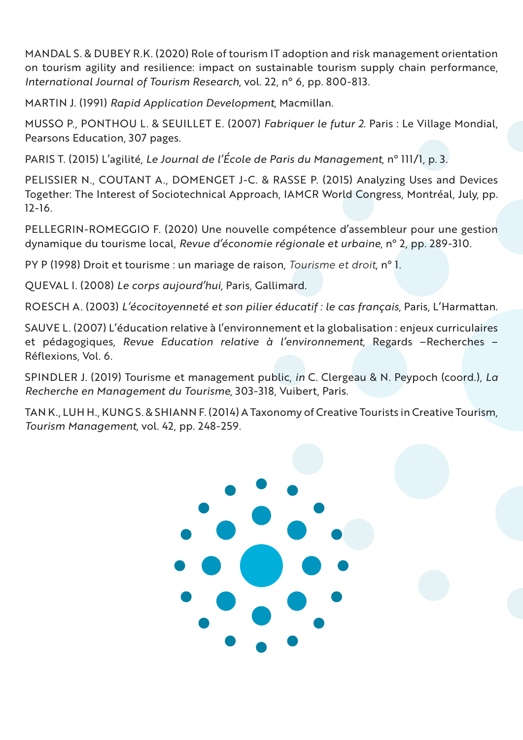MANDAL S. & DUBEY R.K. (2020) Role of tourism IT adoption and risk management orientation on tourism agility and resilience: impact on sustainable tourism supply chain performance, *International Journal of Tourism Research*, vol. 22, n° 6, pp. 800-813.

MARTIN J. (1991) *Rapid Application Development*, Macmillan.

MUSSO P., PONTHOU L. & SEUILLET E. (2007) *Fabriquer le futur 2*. Paris : Le Village Mondial, Pearsons Education, 307 pages.

PARIS T. (2015) L'agilité, *Le Journal de l'École de Paris du Management*, n° 111/1, p. 3.

PELISSIER N., COUTANT A., DOMENGET J-C. & RASSE P. (2015) Analyzing Uses and Devices Together: The Interest of Sociotechnical Approach, IAMCR World Congress, Montréal, July, pp. 12-16.

PELLEGRIN-ROMEGGIO F. (2020) Une nouvelle compétence d'assembleur pour une gestion dynamique du tourisme local, *Revue d'économie régionale et urbaine*, n° 2, pp. 289-310.

PY P (1998) Droit et tourisme : un mariage de raison, *Tourisme et droit*, n° 1.

QUEVAL I. (2008) *Le corps aujourd'hui*, Paris, Gallimard.

ROESCH A. (2003) *L'écocitoyenneté et son pilier éducatif : le cas français*, Paris, L'Harmattan.

SAUVE L. (2007) L'éducation relative à l'environnement et la globalisation : enjeux curriculaires et pédagogiques, *Revue Education relative à l'environnement*, Regards –Recherches – Réflexions, Vol. 6.

SPINDLER J. (2019) Tourisme et management public, *in* C. Clergeau & N. Peypoch (coord.), *La Recherche en Management du Tourisme*, 303-318, Vuibert, Paris.

TAN K., LUH H., KUNG S. & SHIANN F. (2014) A Taxonomy of Creative Tourists in Creative Tourism, *Tourism Management*, vol. 42, pp. 248-259.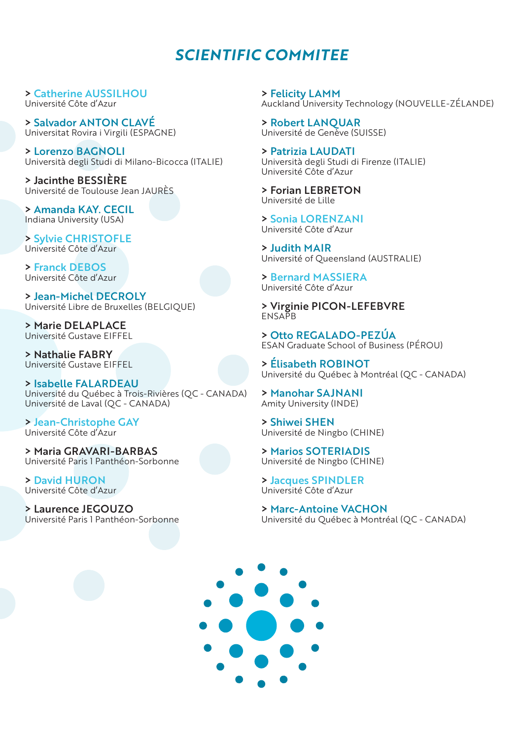#### *SCIENTIFIC COMMITEE*

> Catherine AUSSILHOU Université Côte d'Azur

> Salvador ANTON CLAVÉ Universitat Rovira i Virgili (ESPAGNE)

> Lorenzo BAGNOLI Università degli Studi di Milano-Bicocca (ITALIE)

> Jacinthe BESSIÈRE Université de Toulouse Jean JAURÈS

> Amanda KAY. CECIL Indiana University (USA)

> Sylvie CHRISTOFLE Université Côte d'Azur

> Franck DEBOS Université Côte d'Azur

> Jean-Michel DECROLY Université Libre de Bruxelles (BELGIQUE)

> Marie DELAPLACE Université Gustave EIFFEL

> Nathalie FABRY Université Gustave EIFFEL

> Isabelle FALARDEAU Université du Québec à Trois-Rivières (QC - CANADA) Université de Laval (QC - CANADA)

> Jean-Christophe GAY Université Côte d'Azur

> Maria GRAVARI-BARBAS Université Paris 1 Panthéon-Sorbonne

> David HURON Université Côte d'Azur

> Laurence JEGOUZO Université Paris 1 Panthéon-Sorbonne

> Felicity LAMM Auckland University Technology (NOUVELLE-ZÉLANDE)

> Robert LANQUAR Université de Genève (SUISSE)

> Patrizia LAUDATI Università degli Studi di Firenze (ITALIE) Université Côte d'Azur

> Forian LEBRETON Université de Lille

> Sonia LORENZANI Université Côte d'Azur

> Judith MAIR Université of Queensland (AUSTRALIE)

> Bernard MASSIERA Université Côte d'Azur

> Virginie PICON-LEFEBVRE **ENSAPB** 

> Otto REGALADO-PEZÚA ESAN Graduate School of Business (PÉROU)

> Élisabeth ROBINOT Université du Québec à Montréal (QC - CANADA)

> Manohar SAJNANI Amity University (INDE)

> Shiwei SHEN Université de Ningbo (CHINE)

> Marios SOTERIADIS Université de Ningbo (CHINE)

> Jacques SPINDLER Université Côte d'Azur

> Marc-Antoine VACHON Université du Québec à Montréal (QC - CANADA)